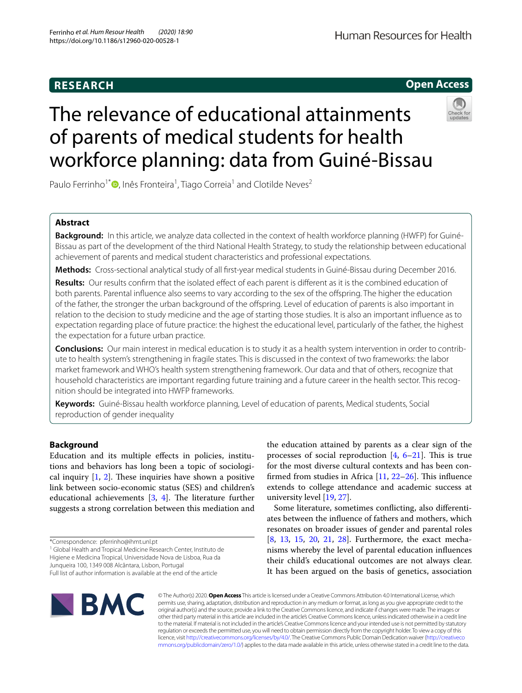## **RESEARCH**

# Human Resources for Health

**Open Access**

# The relevance of educational attainments of parents of medical students for health workforce planning: data from Guiné-Bissau



Paulo Ferrinho<sup>1\*</sup><sup>®</sup>[,](http://orcid.org/0000-0002-3722-0803) Inês Fronteira<sup>1</sup>, Tiago Correia<sup>1</sup> and Clotilde Neves<sup>2</sup>

## **Abstract**

**Background:** In this article, we analyze data collected in the context of health workforce planning (HWFP) for Guiné-Bissau as part of the development of the third National Health Strategy, to study the relationship between educational achievement of parents and medical student characteristics and professional expectations.

**Methods:** Cross-sectional analytical study of all frst-year medical students in Guiné-Bissau during December 2016.

**Results:** Our results confrm that the isolated efect of each parent is diferent as it is the combined education of both parents. Parental infuence also seems to vary according to the sex of the ofspring. The higher the education of the father, the stronger the urban background of the ofspring. Level of education of parents is also important in relation to the decision to study medicine and the age of starting those studies. It is also an important infuence as to expectation regarding place of future practice: the highest the educational level, particularly of the father, the highest the expectation for a future urban practice.

**Conclusions:** Our main interest in medical education is to study it as a health system intervention in order to contribute to health system's strengthening in fragile states. This is discussed in the context of two frameworks: the labor market framework and WHO's health system strengthening framework. Our data and that of others, recognize that household characteristics are important regarding future training and a future career in the health sector. This recognition should be integrated into HWFP frameworks.

**Keywords:** Guiné-Bissau health workforce planning, Level of education of parents, Medical students, Social reproduction of gender inequality

## **Background**

Education and its multiple efects in policies, institutions and behaviors has long been a topic of sociological inquiry  $[1, 2]$  $[1, 2]$  $[1, 2]$  $[1, 2]$  $[1, 2]$ . These inquiries have shown a positive link between socio-economic status (SES) and children's educational achievements  $[3, 4]$  $[3, 4]$  $[3, 4]$  $[3, 4]$ . The literature further suggests a strong correlation between this mediation and

<sup>1</sup> Global Health and Tropical Medicine Research Center, Instituto de Higiene e Medicina Tropical, Universidade Nova de Lisboa, Rua da

Junqueira 100, 1349 008 Alcântara, Lisbon, Portugal

the education attained by parents as a clear sign of the processes of social reproduction  $[4, 6-21]$  $[4, 6-21]$  $[4, 6-21]$  $[4, 6-21]$ . This is true for the most diverse cultural contexts and has been confirmed from studies in Africa  $[11, 22-26]$  $[11, 22-26]$  $[11, 22-26]$  $[11, 22-26]$  $[11, 22-26]$ . This influence extends to college attendance and academic success at university level [[19](#page-5-4), [27\]](#page-5-5).

Some literature, sometimes conficting, also diferentiates between the infuence of fathers and mothers, which resonates on broader issues of gender and parental roles [[8,](#page-4-5) [13](#page-5-6), [15,](#page-5-7) [20](#page-5-8), [21,](#page-5-0) [28\]](#page-5-9). Furthermore, the exact mechanisms whereby the level of parental education infuences their child's educational outcomes are not always clear. It has been argued on the basis of genetics, association



© The Author(s) 2020. **Open Access** This article is licensed under a Creative Commons Attribution 4.0 International License, which permits use, sharing, adaptation, distribution and reproduction in any medium or format, as long as you give appropriate credit to the original author(s) and the source, provide a link to the Creative Commons licence, and indicate if changes were made. The images or other third party material in this article are included in the article's Creative Commons licence, unless indicated otherwise in a credit line to the material. If material is not included in the article's Creative Commons licence and your intended use is not permitted by statutory regulation or exceeds the permitted use, you will need to obtain permission directly from the copyright holder. To view a copy of this licence, visit [http://creativecommons.org/licenses/by/4.0/.](http://creativecommons.org/licenses/by/4.0/) The Creative Commons Public Domain Dedication waiver ([http://creativeco](http://creativecommons.org/publicdomain/zero/1.0/) [mmons.org/publicdomain/zero/1.0/](http://creativecommons.org/publicdomain/zero/1.0/)) applies to the data made available in this article, unless otherwise stated in a credit line to the data.

<sup>\*</sup>Correspondence: pferrinho@ihmt.unl.pt

Full list of author information is available at the end of the article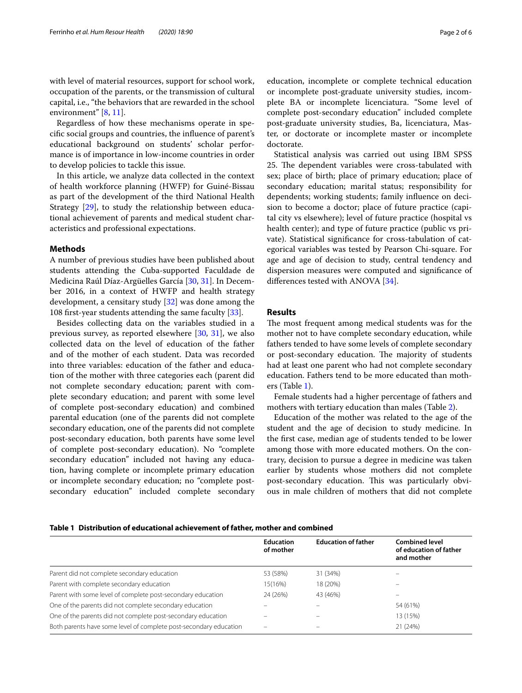with level of material resources, support for school work, occupation of the parents, or the transmission of cultural capital, i.e., "the behaviors that are rewarded in the school environment" [[8,](#page-4-5) [11\]](#page-5-1).

Regardless of how these mechanisms operate in specifc social groups and countries, the infuence of parent's educational background on students' scholar performance is of importance in low-income countries in order to develop policies to tackle this issue.

In this article, we analyze data collected in the context of health workforce planning (HWFP) for Guiné-Bissau as part of the development of the third National Health Strategy [\[29](#page-5-10)], to study the relationship between educational achievement of parents and medical student characteristics and professional expectations.

## **Methods**

A number of previous studies have been published about students attending the Cuba-supported Faculdade de Medicina Raúl Díaz-Argüelles García [[30,](#page-5-11) [31](#page-5-12)]. In December 2016, in a context of HWFP and health strategy development, a censitary study [[32\]](#page-5-13) was done among the 108 frst-year students attending the same faculty [\[33](#page-5-14)].

Besides collecting data on the variables studied in a previous survey, as reported elsewhere [\[30](#page-5-11), [31\]](#page-5-12), we also collected data on the level of education of the father and of the mother of each student. Data was recorded into three variables: education of the father and education of the mother with three categories each (parent did not complete secondary education; parent with complete secondary education; and parent with some level of complete post-secondary education) and combined parental education (one of the parents did not complete secondary education, one of the parents did not complete post-secondary education, both parents have some level of complete post-secondary education). No "complete secondary education" included not having any education, having complete or incomplete primary education or incomplete secondary education; no "complete postsecondary education" included complete secondary

education, incomplete or complete technical education or incomplete post-graduate university studies, incomplete BA or incomplete licenciatura. "Some level of complete post-secondary education" included complete post-graduate university studies, Ba, licenciatura, Master, or doctorate or incomplete master or incomplete doctorate.

Statistical analysis was carried out using IBM SPSS 25. The dependent variables were cross-tabulated with sex; place of birth; place of primary education; place of secondary education; marital status; responsibility for dependents; working students; family infuence on decision to become a doctor; place of future practice (capital city vs elsewhere); level of future practice (hospital vs health center); and type of future practice (public vs private). Statistical signifcance for cross-tabulation of categorical variables was tested by Pearson Chi-square. For age and age of decision to study, central tendency and dispersion measures were computed and signifcance of differences tested with ANOVA [[34\]](#page-5-15).

## **Results**

The most frequent among medical students was for the mother not to have complete secondary education, while fathers tended to have some levels of complete secondary or post-secondary education. The majority of students had at least one parent who had not complete secondary education. Fathers tend to be more educated than mothers (Table [1\)](#page-1-0).

Female students had a higher percentage of fathers and mothers with tertiary education than males (Table [2\)](#page-2-0).

Education of the mother was related to the age of the student and the age of decision to study medicine. In the frst case, median age of students tended to be lower among those with more educated mothers. On the contrary, decision to pursue a degree in medicine was taken earlier by students whose mothers did not complete post-secondary education. This was particularly obvious in male children of mothers that did not complete

#### <span id="page-1-0"></span>**Table 1 Distribution of educational achievement of father, mother and combined**

|                                                                   | <b>Education</b><br>of mother | <b>Education of father</b> | <b>Combined level</b><br>of education of father<br>and mother |
|-------------------------------------------------------------------|-------------------------------|----------------------------|---------------------------------------------------------------|
| Parent did not complete secondary education                       | 53 (58%)                      | 31 (34%)                   |                                                               |
| Parent with complete secondary education                          | 15(16%)                       | 18 (20%)                   |                                                               |
| Parent with some level of complete post-secondary education       | 24 (26%)                      | 43 (46%)                   | -                                                             |
| One of the parents did not complete secondary education           |                               |                            | 54 (61%)                                                      |
| One of the parents did not complete post-secondary education      |                               |                            | 13 (15%)                                                      |
| Both parents have some level of complete post-secondary education | $\overline{\phantom{0}}$      | -                          | 21 (24%)                                                      |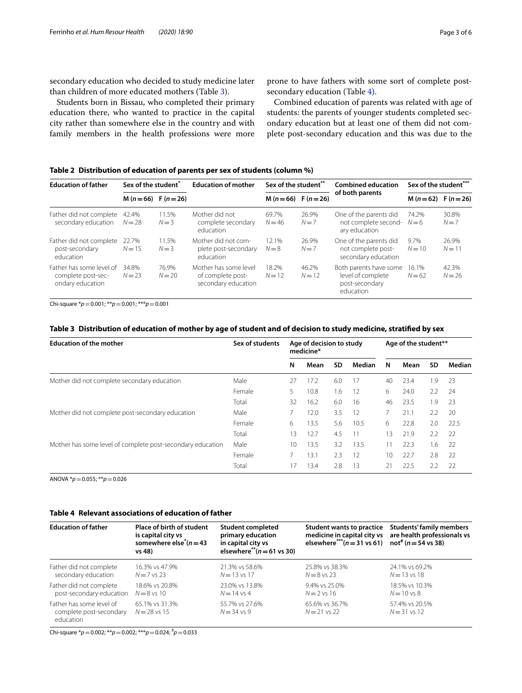secondary education who decided to study medicine later than children of more educated mothers (Table [3](#page-2-1)).

Students born in Bissau, who completed their primary education there, who wanted to practice in the capital city rather than somewhere else in the country and with family members in the health professions were more

prone to have fathers with some sort of complete postsecondary education (Table [4](#page-2-2)).

Combined education of parents was related with age of students: the parents of younger students completed secondary education but at least one of them did not complete post-secondary education and this was due to the

## <span id="page-2-0"></span>**Table 2 Distribution of education of parents per sex of students (column %)**

| <b>Education of father</b>                                         | Sex of the student <sup>*</sup> |                      | <b>Education of mother</b>                                        | Sex of the student** |                      | <b>Combined education</b>                                                  | Sex of the student*** |                   |  |
|--------------------------------------------------------------------|---------------------------------|----------------------|-------------------------------------------------------------------|----------------------|----------------------|----------------------------------------------------------------------------|-----------------------|-------------------|--|
|                                                                    |                                 | $M(n=66)$ F $(n=26)$ |                                                                   |                      | $M(n=66)$ F $(n=26)$ | of both parents                                                            | $M(n=62)$ F $(n=26)$  |                   |  |
| Father did not complete<br>secondary education                     | 42.4%<br>$N = 28$               | 11.5%<br>$N=3$       | Mother did not<br>complete secondary<br>education                 | 69.7%<br>$N = 46$    | 26.9%<br>$N=7$       | One of the parents did<br>not complete second-<br>ary education            | 74.2%<br>$N=6$        | 30.8%<br>$N=7$    |  |
| Father did not complete<br>post-secondary<br>education             | 22.7%<br>$N=15$                 | 11.5%<br>$N=3$       | Mother did not com-<br>plete post-secondary<br>education          | 12.1%<br>$N=8$       | 26.9%<br>$N=7$       | One of the parents did<br>not complete post-<br>secondary education        | 9.7%<br>$N = 10$      | 26.9%<br>$N = 11$ |  |
| Father has some level of<br>complete post-sec-<br>ondary education | 34.8%<br>$N = 23$               | 76.9%<br>$N = 20$    | Mother has some level<br>of complete post-<br>secondary education | 18.2%<br>$N = 12$    | 46.2%<br>$N=12$      | Both parents have some<br>level of complete<br>post-secondary<br>education | 16.1%<br>$N = 62$     | 42.3%<br>$N = 26$ |  |

Chi-square \**p*=0.001; \*\**p*=0.001; \*\*\**p*=0.001

## <span id="page-2-1"></span>**Table 3 Distribution of education of mother by age of student and of decision to study medicine, stratifed by sex**

| <b>Education of the mother</b>                             | Sex of students | Age of decision to study<br>medicine* |      |     |        | Age of the student** |      |           |        |
|------------------------------------------------------------|-----------------|---------------------------------------|------|-----|--------|----------------------|------|-----------|--------|
|                                                            |                 | N                                     | Mean | SD  | Median | N                    | Mean | <b>SD</b> | Median |
| Mother did not complete secondary education                | Male            | 27                                    | 17.2 | 6.0 | 17     | 40                   | 23.4 | 1.9       | 23     |
|                                                            | Female          | 5.                                    | 10.8 | 1.6 | 12     | 6                    | 24.0 | 2.2       | 24     |
|                                                            | Total           | 32                                    | 16.2 | 6.0 | 16     | 46                   | 23.5 | 1.9       | 23     |
| Mother did not complete post-secondary education           | Male            |                                       | 12.0 | 3.5 | 12     |                      | 21.1 | 2.2       | 20     |
|                                                            | Female          | 6                                     | 13.5 | 5.6 | 10.5   | 6                    | 22.8 | 2.0       | 22.5   |
|                                                            | Total           | 13                                    | 12.7 | 4.5 | 11     | 13                   | 21.9 | 2.2       | 22     |
| Mother has some level of complete post-secondary education | Male            | 10                                    | 13.5 | 3.2 | 13.5   | 11                   | 22.3 | 1.6       | 22     |
|                                                            | Female          |                                       | 13.1 | 2.3 | 12     | 10                   | 22.7 | 2.8       | 22     |
|                                                            | Total           | 17                                    | 13.4 | 2.8 | 13     | 21                   | 22.5 | 2.2       | 22     |

ANOVA \**p*=0.055; \*\**p*=0.026

## <span id="page-2-2"></span>**Table 4 Relevant associations of education of father**

| <b>Education of father</b>                                       | Place of birth of student<br>is capital city vs<br>somewhere else <sup><math>*(n=43)</math></sup><br>vs 48) | <b>Student completed</b><br>primary education<br>in capital city vs<br>elsewhere <sup>**</sup> $(n=61 \text{ vs } 30)$ | elsewhere***( $n = 31$ vs 61) not <sup>#</sup> ( $n = 54$ vs 38) | Student wants to practice Students' family members<br>medicine in capital city vs are health professionals vs |  |
|------------------------------------------------------------------|-------------------------------------------------------------------------------------------------------------|------------------------------------------------------------------------------------------------------------------------|------------------------------------------------------------------|---------------------------------------------------------------------------------------------------------------|--|
| Father did not complete                                          | 16.3% vs 47.9%                                                                                              | 21.3% vs 58.6%                                                                                                         | 25.8% vs 38.3%                                                   | 24.1% vs 69.2%                                                                                                |  |
| secondary education                                              | $N=7$ vs 23                                                                                                 | $N = 13$ vs 17                                                                                                         | $N = 8$ vs 23                                                    | $N = 13$ vs 18                                                                                                |  |
| Father did not complete                                          | 18.6% vs 20.8%                                                                                              | 23.0% vs 13.8%                                                                                                         | 9.4% vs 25.0%                                                    | 18.5% vs 10.3%                                                                                                |  |
| post-secondary education                                         | $N=8$ vs 10                                                                                                 | $N = 14$ vs 4                                                                                                          | $N=2$ vs 16                                                      | $N = 10$ vs $8$                                                                                               |  |
| Father has some level of<br>complete post-secondary<br>education | 65.1% vs 31.3%<br>$N = 28$ vs 15                                                                            | 55.7% vs 27.6%<br>$N = 34$ vs 9                                                                                        | 65.6% vs 36.7%<br>$N = 21$ vs 22                                 | 57.4% vs 20.5%<br>$N = 31$ vs 12                                                                              |  |

Chi-square \**p*=0.002; \*\**p*=0.002; \*\*\**p*=0.024; # *p*=0.033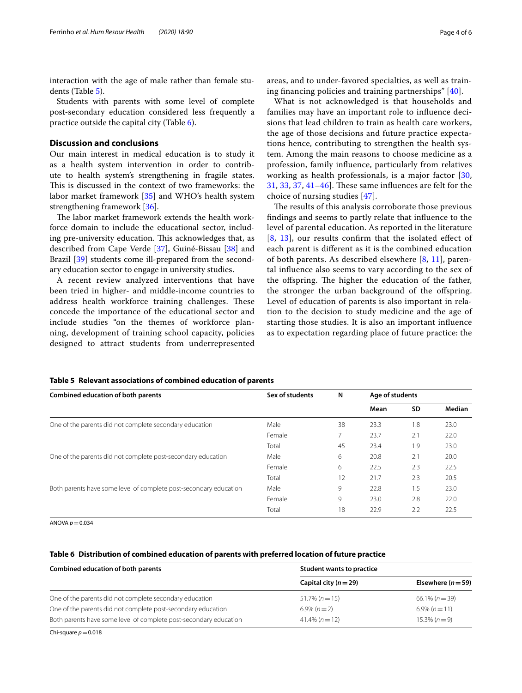interaction with the age of male rather than female students (Table [5](#page-3-0)).

Students with parents with some level of complete post-secondary education considered less frequently a practice outside the capital city (Table [6\)](#page-3-1).

## **Discussion and conclusions**

Our main interest in medical education is to study it as a health system intervention in order to contribute to health system's strengthening in fragile states. This is discussed in the context of two frameworks: the labor market framework [[35\]](#page-5-16) and WHO's health system strengthening framework [\[36\]](#page-5-17).

The labor market framework extends the health workforce domain to include the educational sector, including pre-university education. This acknowledges that, as described from Cape Verde [[37\]](#page-5-18), Guiné-Bissau [[38\]](#page-5-19) and Brazil [\[39\]](#page-5-20) students come ill-prepared from the secondary education sector to engage in university studies.

A recent review analyzed interventions that have been tried in higher- and middle-income countries to address health workforce training challenges. These concede the importance of the educational sector and include studies "on the themes of workforce planning, development of training school capacity, policies designed to attract students from underrepresented areas, and to under-favored specialties, as well as training fnancing policies and training partnerships" [\[40](#page-5-21)].

What is not acknowledged is that households and families may have an important role to infuence decisions that lead children to train as health care workers, the age of those decisions and future practice expectations hence, contributing to strengthen the health system. Among the main reasons to choose medicine as a profession, family infuence, particularly from relatives working as health professionals, is a major factor [\[30](#page-5-11),  $31, 33, 37, 41-46$  $31, 33, 37, 41-46$  $31, 33, 37, 41-46$  $31, 33, 37, 41-46$  $31, 33, 37, 41-46$  $31, 33, 37, 41-46$ . These same influences are felt for the choice of nursing studies [[47\]](#page-5-24).

The results of this analysis corroborate those previous fndings and seems to partly relate that infuence to the level of parental education. As reported in the literature [[8](#page-4-5), [13\]](#page-5-6), our results confrm that the isolated efect of each parent is diferent as it is the combined education of both parents. As described elsewhere  $[8, 11]$  $[8, 11]$  $[8, 11]$  $[8, 11]$  $[8, 11]$ , parental infuence also seems to vary according to the sex of the offspring. The higher the education of the father, the stronger the urban background of the offspring. Level of education of parents is also important in relation to the decision to study medicine and the age of starting those studies. It is also an important infuence as to expectation regarding place of future practice: the

| <b>Combined education of both parents</b>                         | Sex of students | N  | Age of students |     |        |  |
|-------------------------------------------------------------------|-----------------|----|-----------------|-----|--------|--|
|                                                                   |                 |    | Mean            | SD  | Median |  |
| One of the parents did not complete secondary education           | Male            | 38 | 23.3            | 1.8 | 23.0   |  |
|                                                                   | Female          | 7  | 23.7            | 2.1 | 22.0   |  |
|                                                                   | Total           | 45 | 23.4            | 1.9 | 23.0   |  |
| One of the parents did not complete post-secondary education      | Male            | 6  | 20.8            | 2.1 | 20.0   |  |
|                                                                   | Female          | 6  | 22.5            | 2.3 | 22.5   |  |
|                                                                   | Total           | 12 | 21.7            | 2.3 | 20.5   |  |
| Both parents have some level of complete post-secondary education | Male            | 9  | 22.8            | 1.5 | 23.0   |  |
|                                                                   | Female          | 9  | 23.0            | 2.8 | 22.0   |  |
|                                                                   | Total           | 18 | 22.9            | 2.2 | 22.5   |  |

#### <span id="page-3-0"></span>**Table 5 Relevant associations of combined education of parents**

ANOVA  $p = 0.034$ 

## <span id="page-3-1"></span>**Table 6 Distribution of combined education of parents with preferred location of future practice**

| <b>Combined education of both parents</b>                         | Student wants to practice |                        |  |  |  |
|-------------------------------------------------------------------|---------------------------|------------------------|--|--|--|
|                                                                   | Capital city $(n=29)$     | Elsewhere ( $n = 59$ ) |  |  |  |
| One of the parents did not complete secondary education           | $51.7\% (n=15)$           | $66.1\% (n=39)$        |  |  |  |
| One of the parents did not complete post-secondary education      | $6.9\% (n=2)$             | $6.9\% (n=11)$         |  |  |  |
| Both parents have some level of complete post-secondary education | $41.4\% (n=12)$           | $15.3\% (n=9)$         |  |  |  |

Chi-square  $p=0.018$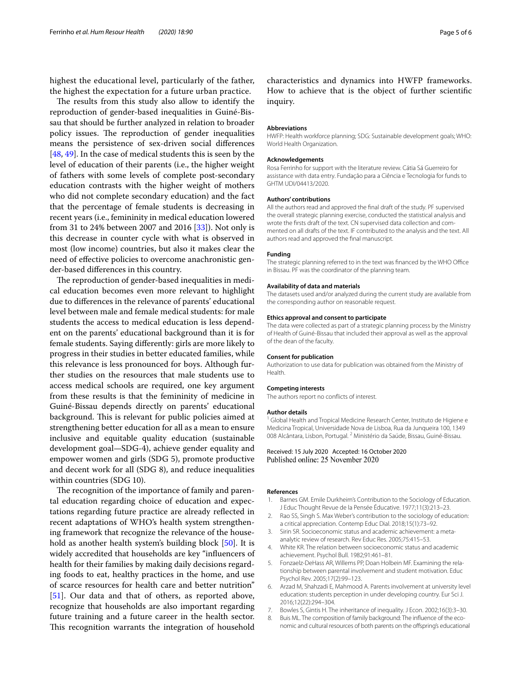highest the educational level, particularly of the father, the highest the expectation for a future urban practice.

The results from this study also allow to identify the reproduction of gender-based inequalities in Guiné-Bissau that should be further analyzed in relation to broader policy issues. The reproduction of gender inequalities means the persistence of sex-driven social diferences [[48,](#page-5-25) [49](#page-5-26)]. In the case of medical students this is seen by the level of education of their parents (i.e., the higher weight of fathers with some levels of complete post-secondary education contrasts with the higher weight of mothers who did not complete secondary education) and the fact that the percentage of female students is decreasing in recent years (i.e., femininity in medical education lowered from 31 to 24% between 2007 and 2016 [\[33](#page-5-14)]). Not only is this decrease in counter cycle with what is observed in most (low income) countries, but also it makes clear the need of efective policies to overcome anachronistic gender-based diferences in this country.

The reproduction of gender-based inequalities in medical education becomes even more relevant to highlight due to diferences in the relevance of parents' educational level between male and female medical students: for male students the access to medical education is less dependent on the parents' educational background than it is for female students. Saying diferently: girls are more likely to progress in their studies in better educated families, while this relevance is less pronounced for boys. Although further studies on the resources that male students use to access medical schools are required, one key argument from these results is that the femininity of medicine in Guiné-Bissau depends directly on parents' educational background. This is relevant for public policies aimed at strengthening better education for all as a mean to ensure inclusive and equitable quality education (sustainable development goal—SDG-4), achieve gender equality and empower women and girls (SDG 5), promote productive and decent work for all (SDG 8), and reduce inequalities within countries (SDG 10).

The recognition of the importance of family and parental education regarding choice of education and expectations regarding future practice are already refected in recent adaptations of WHO's health system strengthening framework that recognize the relevance of the household as another health system's building block [[50\]](#page-5-27). It is widely accredited that households are key "infuencers of health for their families by making daily decisions regarding foods to eat, healthy practices in the home, and use of scarce resources for health care and better nutrition" [[51\]](#page-5-28). Our data and that of others, as reported above, recognize that households are also important regarding future training and a future career in the health sector. This recognition warrants the integration of household

characteristics and dynamics into HWFP frameworks. How to achieve that is the object of further scientifc inquiry.

#### **Abbreviations**

HWFP: Health workforce planning; SDG: Sustainable development goals; WHO: World Health Organization.

#### **Acknowledgements**

Rosa Ferrinho for support with the literature review. Cátia Sá Guerreiro for assistance with data entry. Fundação para a Ciência e Tecnologia for funds to GHTM UDI/04413/2020.

#### **Authors' contributions**

All the authors read and approved the fnal draft of the study. PF supervised the overall strategic planning exercise, conducted the statistical analysis and wrote the frsts draft of the text. CN supervised data collection and commented on all drafts of the text. IF contributed to the analysis and the text. All authors read and approved the fnal manuscript.

#### **Funding**

The strategic planning referred to in the text was financed by the WHO Office in Bissau. PF was the coordinator of the planning team.

#### **Availability of data and materials**

The datasets used and/or analyzed during the current study are available from the corresponding author on reasonable request.

#### **Ethics approval and consent to participate**

The data were collected as part of a strategic planning process by the Ministry of Health of Guiné-Bissau that included their approval as well as the approval of the dean of the faculty.

#### **Consent for publication**

Authorization to use data for publication was obtained from the Ministry of Health.

#### **Competing interests**

The authors report no conficts of interest.

#### **Author details**

<sup>1</sup> Global Health and Tropical Medicine Research Center, Instituto de Higiene e Medicina Tropical, Universidade Nova de Lisboa, Rua da Junqueira 100, 1349 008 Alcântara, Lisbon, Portugal. 2 Ministério da Saúde, Bissau, Guiné-Bissau.

### Received: 15 July 2020 Accepted: 16 October 2020 Published online: 25 November 2020

#### **References**

- <span id="page-4-0"></span>1. Barnes GM. Emile Durkheim's Contribution to the Sociology of Education. J Educ Thought Revue de la Pensée Éducative. 1977;11(3):213–23.
- <span id="page-4-1"></span>2. Rao SS, Singh S. Max Weber's contribution to the sociology of education: a critical appreciation. Contemp Educ Dial. 2018;15(1):73–92.
- <span id="page-4-2"></span>3. Sirin SR. Socioeconomic status and academic achievement: a metaanalytic review of research. Rev Educ Res. 2005;75:415–53.
- <span id="page-4-3"></span>4. White KR. The relation between socioeconomic status and academic achievement. Psychol Bull. 1982;91:461–81.
- 5. Fonzaelz-DeHass AR, Willems PP, Doan Holbein MF. Examining the relationship between parental involvement and student motivation. Educ Psychol Rev. 2005;17(2):99–123.
- <span id="page-4-4"></span>Arzad M, Shahzadi E, Mahmood A. Parents involvement at university level education: students perception in under developing country. Eur Sci J. 2016;12(22):294–304.
- 7. Bowles S, Gintis H. The inheritance of inequality. J Econ. 2002;16(3):3–30.
- <span id="page-4-5"></span>8. Buis ML. The composition of family background: The infuence of the economic and cultural resources of both parents on the ofspring's educational